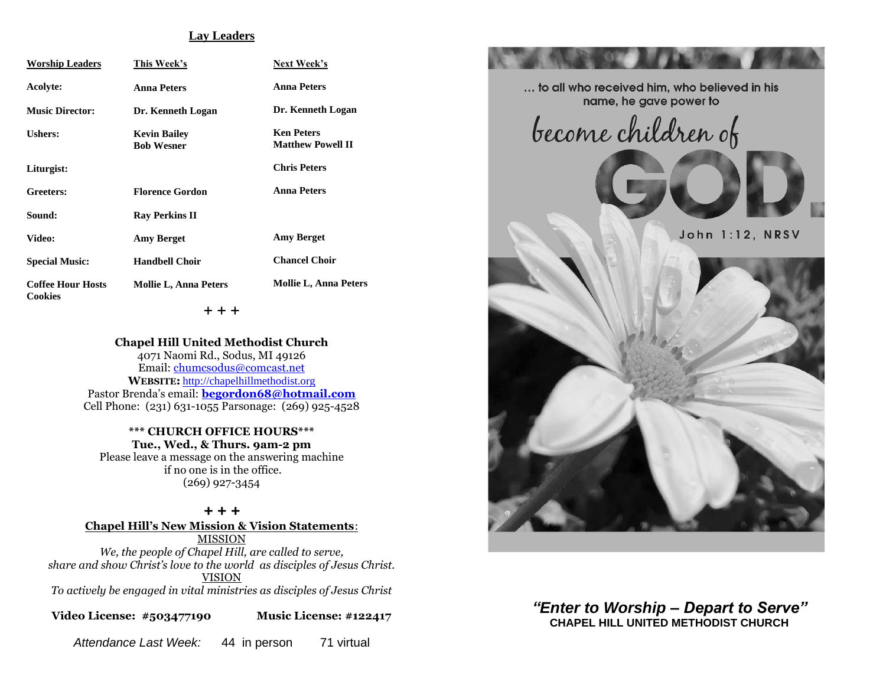#### **Lay Leaders**

| <b>Worship Leaders</b>                     | This Week's                              | Next Week's                                   |
|--------------------------------------------|------------------------------------------|-----------------------------------------------|
| Acolyte:                                   | <b>Anna Peters</b>                       | <b>Anna Peters</b>                            |
| <b>Music Director:</b>                     | Dr. Kenneth Logan                        | Dr. Kenneth Logan                             |
| Ushers:                                    | <b>Kevin Bailey</b><br><b>Bob Wesner</b> | <b>Ken Peters</b><br><b>Matthew Powell II</b> |
| Liturgist:                                 |                                          | <b>Chris Peters</b>                           |
| Greeters:                                  | <b>Florence Gordon</b>                   | <b>Anna Peters</b>                            |
| Sound:                                     | <b>Ray Perkins II</b>                    |                                               |
| Video:                                     | <b>Amy Berget</b>                        | <b>Amy Berget</b>                             |
| <b>Special Music:</b>                      | <b>Handbell Choir</b>                    | <b>Chancel Choir</b>                          |
| <b>Coffee Hour Hosts</b><br><b>Cookies</b> | <b>Mollie L, Anna Peters</b>             | <b>Mollie L, Anna Peters</b>                  |

+ + +

**Chapel Hill United Methodist Church** 4071 Naomi Rd., Sodus, MI 49126 Email: [chumcsodus@comcast.net](mailto:chumcsodus@comcast.net) **WEBSITE:** [http://chapelhillmethodist.org](http://chapelhillmethodist.org/) Pastor Brenda's email: **[begordon68@hotmail.com](mailto:begordon68@hotmail.com)** Cell Phone: (231) 631-1055 Parsonage: (269) 925-4528

> **\*\*\* CHURCH OFFICE HOURS\*\*\* Tue., Wed., & Thurs. 9am-2 pm**

Please leave a message on the answering machine if no one is in the office. (269) 927-3454

*+ + +* **Chapel Hill's New Mission & Vision Statements**: MISSION *We, the people of Chapel Hill, are called to serve, share and show Christ's love to the world as disciples of Jesus Christ.* VISION

*To actively be engaged in vital ministries as disciples of Jesus Christ*

**Video License: #503477190 Music License: #122417**

*Attendance Last Week:* 44 in person 71 virtual



*"Enter to Worship – Depart to Serve"* **CHAPEL HILL UNITED METHODIST CHURCH**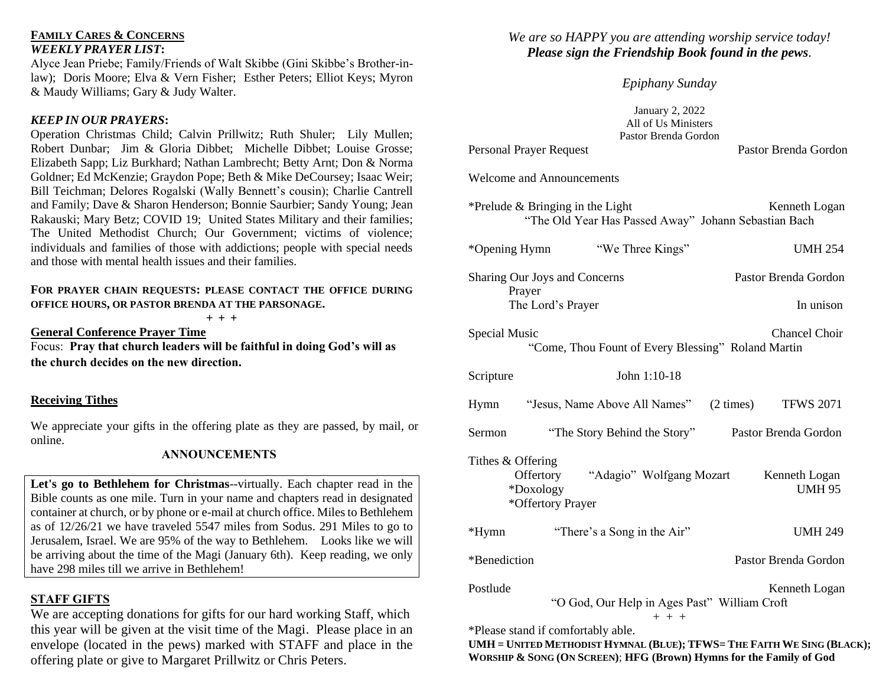#### **FAMILY CARES & CONCERNS** *WEEKLY PRAYER LIST***:**

Alyce Jean Priebe; Family/Friends of Walt Skibbe (Gini Skibbe's Brother-inlaw); Doris Moore; Elva & Vern Fisher; Esther Peters; Elliot Keys; Myron & Maudy Williams; Gary & Judy Walter.

#### *KEEP IN OUR PRAYERS***:**

Operation Christmas Child; Calvin Prillwitz; Ruth Shuler; Lily Mullen; Robert Dunbar; Jim & Gloria Dibbet; Michelle Dibbet; Louise Grosse; Elizabeth Sapp; Liz Burkhard; Nathan Lambrecht; Betty Arnt; Don & Norma Goldner; Ed McKenzie; Graydon Pope; Beth & Mike DeCoursey; Isaac Weir; Bill Teichman; Delores Rogalski (Wally Bennett's cousin); Charlie Cantrell and Family; Dave & Sharon Henderson; Bonnie Saurbier; Sandy Young; Jean Rakauski; Mary Betz; COVID 19; United States Military and their families; The United Methodist Church; Our Government; victims of violence; individuals and families of those with addictions; people with special needs and those with mental health issues and their families.

#### **FOR PRAYER CHAIN REQUESTS: PLEASE CONTACT THE OFFICE DURING OFFICE HOURS, OR PASTOR BRENDA AT THE PARSONAGE.**

**+ + +**

**General Conference Prayer Time** Focus: **Pray that church leaders will be faithful in doing God's will as the church decides on the new direction.** 

## **Receiving Tithes**

We appreciate your gifts in the offering plate as they are passed, by mail, or online.

#### **ANNOUNCEMENTS**

**Let's go to Bethlehem for Christmas**--virtually. Each chapter read in the Bible counts as one mile. Turn in your name and chapters read in designated container at church, or by phone or e-mail at church office. Miles to Bethlehem as of 12/26/21 we have traveled 5547 miles from Sodus. 291 Miles to go to Jerusalem, Israel. We are 95% of the way to Bethlehem. Looks like we will be arriving about the time of the Magi (January 6th). Keep reading, we only have 298 miles till we arrive in Bethlehem!

## **STAFF GIFTS**

We are accepting donations for gifts for our hard working Staff, which this year will be given at the visit time of the Magi. Please place in an envelope (located in the pews) marked with STAFF and place in the offering plate or give to Margaret Prillwitz or Chris Peters.

# *We are so HAPPY you are attending worship service today! Please sign the Friendship Book found in the pews.*

# *Epiphany Sunday*

January 2, 2022 All of Us Ministers Pastor Brenda Gordon

Welcome and Announcements

Personal Prayer Request

| *Prelude $\&$ Bringing in the Light                  | Kenneth Logan |
|------------------------------------------------------|---------------|
| "The Old Year Has Passed Away" Johann Sebastian Bach |               |

| *Opening Hymn                 | "We Three Kings" | <b>UMH 254</b>       |
|-------------------------------|------------------|----------------------|
| Sharing Our Joys and Concerns |                  | Pastor Brenda Gordon |
| Prayer<br>The Lord's Prayer   |                  | In unison            |

Special Music Chancel Choir "Come, Thou Fount of Every Blessing" Roland Martin

| Scripture         | John $1:10-18$                                                          |                     |                                |
|-------------------|-------------------------------------------------------------------------|---------------------|--------------------------------|
| Hymn              | "Jesus, Name Above All Names"                                           | $(2 \text{ times})$ | <b>TFWS 2071</b>               |
| Sermon            | "The Story Behind the Story"                                            |                     | Pastor Brenda Gordon           |
| Tithes & Offering | "Adagio" Wolfgang Mozart<br>Offertory<br>*Doxology<br>*Offertory Prayer |                     | Kenneth Logan<br><b>UMH 95</b> |
| $*Hymn$           | "There's a Song in the Air"                                             |                     | <b>UMH 249</b>                 |
| *Benediction      |                                                                         |                     | Pastor Brenda Gordon           |
| Postlude          |                                                                         |                     | Kenneth Logan<br>$\sim$ $\sim$ |

"O God, Our Help in Ages Past" William Croft

 $+ + +$ 

\*Please stand if comfortably able.

UMH = UNITED METHODIST HYMNAL (BLUE); TFWS= THE FAITH WE SING (BLACK); **WORSHIP & SONG (ON SCREEN)**; **HFG (Brown) Hymns for the Family of God**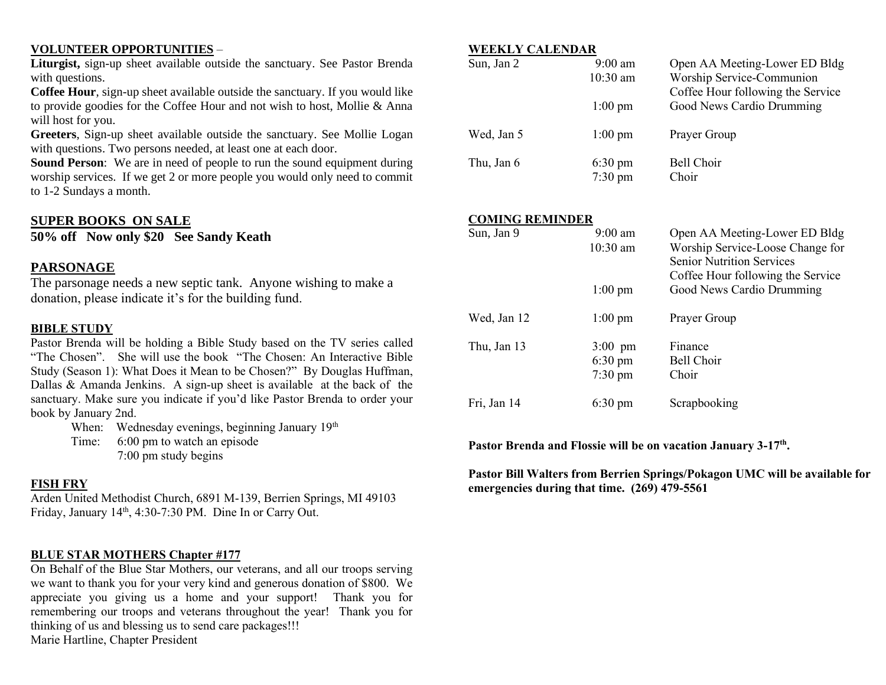#### **VOLUNTEER OPPORTUNITIES** –

**Liturgist,** sign-up sheet available outside the sanctuary. See Pastor Brenda with questions.

**Coffee Hour**, sign-up sheet available outside the sanctuary. If you would like to provide goodies for the Coffee Hour and not wish to host, Mollie & Anna will host for you.

**Greeters**, Sign-up sheet available outside the sanctuary. See Mollie Logan with questions. Two persons needed, at least one at each door.

**Sound Person:** We are in need of people to run the sound equipment during worship services. If we get 2 or more people you would only need to commit to 1-2 Sundays a month.

#### **SUPER BOOKS ON SALE**

**50% off Now only \$20 See Sandy Keath**

#### **PARSONAGE**

The parsonage needs a new septic tank. Anyone wishing to make a donation, please indicate it's for the building fund.

#### **BIBLE STUDY**

Pastor Brenda will be holding a Bible Study based on the TV series called "The Chosen". She will use the book "The Chosen: An Interactive Bible Study (Season 1): What Does it Mean to be Chosen?" By Douglas Huffman, Dallas & Amanda Jenkins. A sign-up sheet is available at the back of the sanctuary. Make sure you indicate if you'd like Pastor Brenda to order your book by January 2nd.

When: Wednesday evenings, beginning January 19<sup>th</sup>

Time: 6:00 pm to watch an episode 7:00 pm study begins

#### **FISH FRY**

Arden United Methodist Church, 6891 M-139, Berrien Springs, MI 49103 Friday, January 14<sup>th</sup>, 4:30-7:30 PM. Dine In or Carry Out.

## **BLUE STAR MOTHERS Chapter #177**

On Behalf of the Blue Star Mothers, our veterans, and all our troops serving we want to thank you for your very kind and generous donation of \$800. We appreciate you giving us a home and your support! Thank you for remembering our troops and veterans throughout the year! Thank you for thinking of us and blessing us to send care packages!!! Marie Hartline, Chapter President

#### **WEEKLY CALENDAR**

| Sun, Jan 2 | $9:00$ am<br>$10:30$ am<br>$1:00 \text{ pm}$ | Open AA Meeting-Lower ED Bldg<br>Worship Service-Communion<br>Coffee Hour following the Service<br>Good News Cardio Drumming |
|------------|----------------------------------------------|------------------------------------------------------------------------------------------------------------------------------|
| Wed, Jan 5 | $1:00 \text{ pm}$                            | Prayer Group                                                                                                                 |
| Thu, Jan 6 | $6:30 \text{ pm}$<br>$7:30$ pm               | Bell Choir<br>Choir                                                                                                          |

#### **COMING REMINDER**

| Sun, Jan 9  | $9:00 \text{ am}$<br>$10:30$ am<br>$1:00 \text{ pm}$        | Open AA Meeting-Lower ED Bldg<br>Worship Service-Loose Change for<br><b>Senior Nutrition Services</b><br>Coffee Hour following the Service<br>Good News Cardio Drumming |
|-------------|-------------------------------------------------------------|-------------------------------------------------------------------------------------------------------------------------------------------------------------------------|
| Wed, Jan 12 | $1:00 \text{ pm}$                                           | Prayer Group                                                                                                                                                            |
| Thu, Jan 13 | $3:00 \text{ pm}$<br>$6:30 \text{ pm}$<br>$7:30 \text{ pm}$ | Finance<br>Bell Choir<br>Choir                                                                                                                                          |
| Fri, Jan 14 | $6:30 \text{ pm}$                                           | Scrapbooking                                                                                                                                                            |

Pastor Brenda and Flossie will be on vacation January 3-17<sup>th</sup>.

**Pastor Bill Walters from Berrien Springs/Pokagon UMC will be available for emergencies during that time. (269) 479-5561**